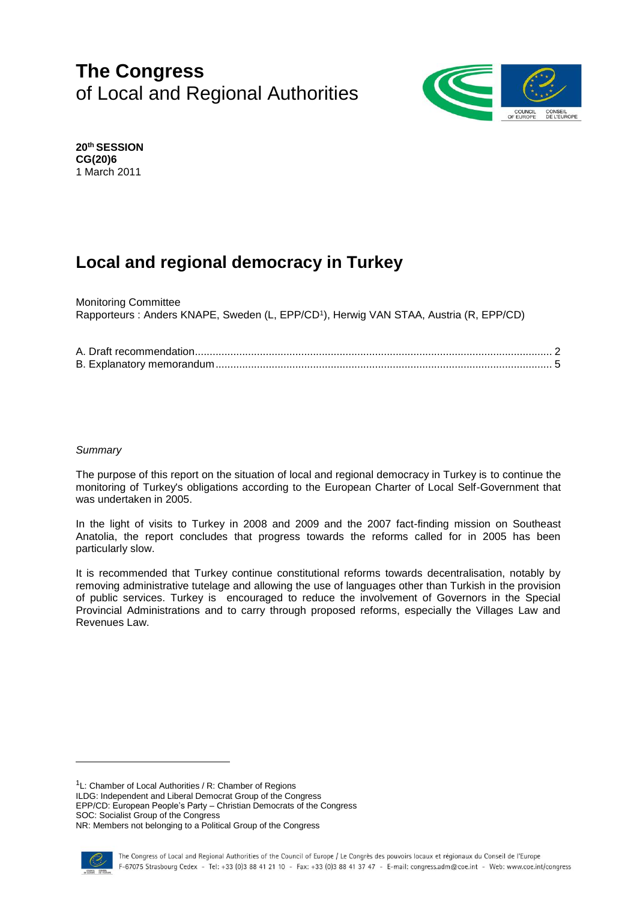# **The Congress** of Local and Regional Authorities



**20th SESSION CG(20)6** 1 March 2011

# **Local and regional democracy in Turkey**

Monitoring Committee Rapporteurs : Anders KNAPE, Sweden (L, EPP/CD<sup>1</sup> ), Herwig VAN STAA, Austria (R, EPP/CD)

## *Summary*

The purpose of this report on the situation of local and regional democracy in Turkey is to continue the monitoring of Turkey's obligations according to the European Charter of Local Self-Government that was undertaken in 2005.

In the light of visits to Turkey in 2008 and 2009 and the 2007 fact-finding mission on Southeast Anatolia, the report concludes that progress towards the reforms called for in 2005 has been particularly slow.

It is recommended that Turkey continue constitutional reforms towards decentralisation, notably by removing administrative tutelage and allowing the use of languages other than Turkish in the provision of public services. Turkey is encouraged to reduce the involvement of Governors in the Special Provincial Administrations and to carry through proposed reforms, especially the Villages Law and Revenues Law.

<sup>1</sup>L: Chamber of Local Authorities / R: Chamber of Regions

ILDG: Independent and Liberal Democrat Group of the Congress

EPP/CD: European People's Party – Christian Democrats of the Congress SOC: Socialist Group of the Congress

NR: Members not belonging to a Political Group of the Congress

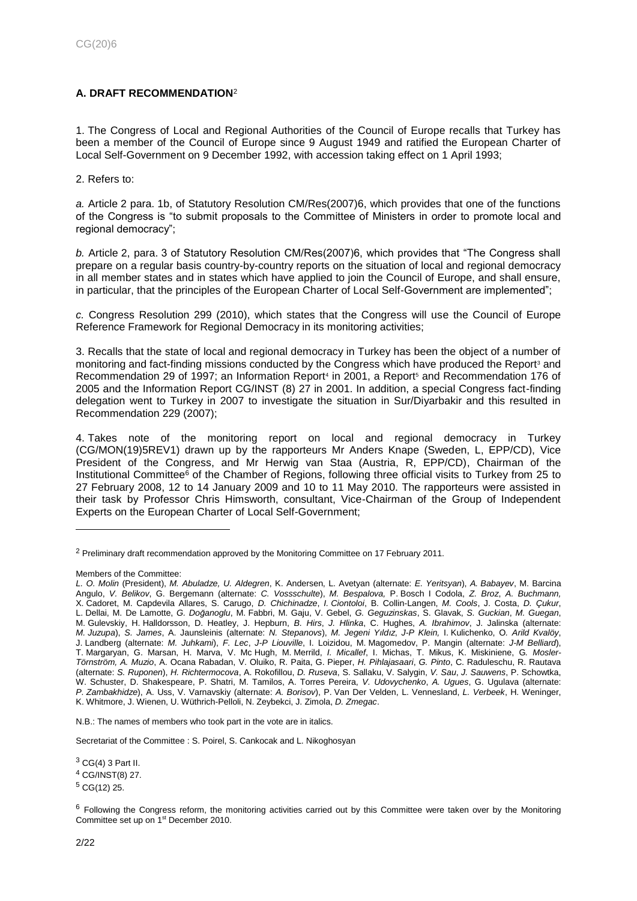# <span id="page-1-0"></span>**A. DRAFT RECOMMENDATION**<sup>2</sup>

1. The Congress of Local and Regional Authorities of the Council of Europe recalls that Turkey has been a member of the Council of Europe since 9 August 1949 and ratified the European Charter of Local Self-Government on 9 December 1992, with accession taking effect on 1 April 1993;

2. Refers to:

*a.* Article 2 para. 1b, of Statutory Resolution CM/Res(2007)6, which provides that one of the functions of the Congress is "to submit proposals to the Committee of Ministers in order to promote local and regional democracy";

*b.* Article 2, para. 3 of Statutory Resolution CM/Res(2007)6, which provides that "The Congress shall prepare on a regular basis country-by-country reports on the situation of local and regional democracy in all member states and in states which have applied to join the Council of Europe, and shall ensure, in particular, that the principles of the European Charter of Local Self-Government are implemented";

*c.* Congress Resolution 299 (2010), which states that the Congress will use the Council of Europe Reference Framework for Regional Democracy in its monitoring activities;

3. Recalls that the state of local and regional democracy in Turkey has been the object of a number of monitoring and fact-finding missions conducted by the Congress which have produced the Report<sup>3</sup> and Recommendation 29 of 1997; an Information Report<sup>4</sup> in 2001, a Report<sup>5</sup> and Recommendation 176 of 2005 and the Information Report CG/INST (8) 27 in 2001. In addition, a special Congress fact-finding delegation went to Turkey in 2007 to investigate the situation in Sur/Diyarbakir and this resulted in Recommendation 229 (2007);

4. Takes note of the monitoring report on local and regional democracy in Turkey (CG/MON(19)5REV1) drawn up by the rapporteurs Mr Anders Knape (Sweden, L, EPP/CD), Vice President of the Congress, and Mr Herwig van Staa (Austria, R, EPP/CD), Chairman of the Institutional Committee<sup>6</sup> of the Chamber of Regions, following three official visits to Turkey from 25 to 27 February 2008, 12 to 14 January 2009 and 10 to 11 May 2010. The rapporteurs were assisted in their task by Professor Chris Himsworth, consultant, Vice-Chairman of the Group of Independent Experts on the European Charter of Local Self-Government;

l

N.B.: The names of members who took part in the vote are in italics.

Secretariat of the Committee : S. Poirel, S. Cankocak and L. Nikoghosyan

 $3$  CG(4) 3 Part II.

<sup>4</sup> CG/INST(8) 27.

 $5$  CG(12) 25.

<sup>&</sup>lt;sup>2</sup> Preliminary draft recommendation approved by the Monitoring Committee on 17 February 2011.

Members of the Committee:

*L. O. Molin* (President), *M. Abuladze, U. Aldegren*, K. Andersen, L. Avetyan (alternate: *E. Yeritsyan*), *A. Babayev*, M. Barcina Angulo, *V. Belikov*, G. Bergemann (alternate: *C. Vossschulte*), *M. Bespalova,* P. Bosch I Codola, *Z. Broz*, *A. Buchmann,* X. Cadoret, M. Capdevila Allares, S. Carugo, *D. Chichinadze*, *I. Ciontoloi*, B. Collin-Langen, *M. Cools*, J. Costa, *D. Çukur*, L. Dellai, M. De Lamotte, *G. Doğanoglu*, M. Fabbri, M. Gaju, V. Gebel, *G. Geguzinskas*, S. Glavak, *S. Guckian*, *M. Guegan*, M. Gulevskiy, H. Halldorsson, D. Heatley, J. Hepburn, *B. Hirs*, *J. Hlinka*, C. Hughes, *A. Ibrahimov*, J. Jalinska (alternate: *M. Juzupa*), *S. James*, A. Jaunsleinis (alternate: *N. Stepanovs*), *M. Jegeni Yıldız*, *J-P Klein,* I. Kulichenko, O*. Arild Kvalöy*, J. Landberg (alternate: *M. Juhkami*), *F. Lec*, *J-P Liouville*, I. Loizidou, M. Magomedov, P. Mangin (alternate: *J-M Belliard*), T. Margaryan, G. Marsan, H. Marva, V. Mc Hugh, M. Merrild, *I. Micallef*, I. Michas, T. Mikus, K. Miskiniene, G*. Mosler-Törnström, A. Muzio*, A. Ocana Rabadan, V. Oluiko, R. Paita, G. Pieper, *H. Pihlajasaari*, *G. Pinto*, C. Raduleschu, R. Rautava (alternate: *S. Ruponen*), *H. Richtermocova*, A. Rokofillou, *D. Ruseva*, S. Sallaku, V. Salygin, *V. Sau*, *J. Sauwens*, P. Schowtka, W. Schuster, D. Shakespeare, P. Shatri, M. Tamilos, A. Torres Pereira, *V. Udovychenko*, *A. Ugues*, G. Ugulava (alternate: *P. Zambakhidze*), A. Uss, V. Varnavskiy (alternate: *A. Borisov*), P. Van Der Velden, L. Vennesland, *L. Verbeek*, H. Weninger, K. Whitmore, J. Wienen, U. Wüthrich-Pelloli, N. Zeybekci, J. Zimola, *D. Zmegac*.

 $6$  Following the Congress reform, the monitoring activities carried out by this Committee were taken over by the Monitoring Committee set up on 1<sup>st</sup> December 2010.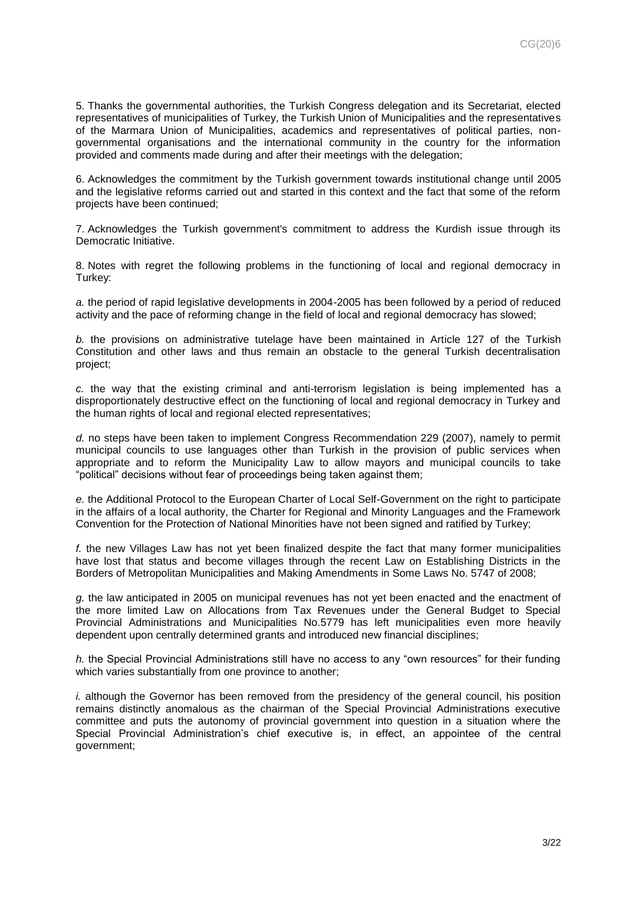5. Thanks the governmental authorities, the Turkish Congress delegation and its Secretariat, elected representatives of municipalities of Turkey, the Turkish Union of Municipalities and the representatives of the Marmara Union of Municipalities, academics and representatives of political parties, nongovernmental organisations and the international community in the country for the information provided and comments made during and after their meetings with the delegation;

6. Acknowledges the commitment by the Turkish government towards institutional change until 2005 and the legislative reforms carried out and started in this context and the fact that some of the reform projects have been continued;

7. Acknowledges the Turkish government's commitment to address the Kurdish issue through its Democratic Initiative.

8. Notes with regret the following problems in the functioning of local and regional democracy in Turkey:

*a.* the period of rapid legislative developments in 2004-2005 has been followed by a period of reduced activity and the pace of reforming change in the field of local and regional democracy has slowed;

*b.* the provisions on administrative tutelage have been maintained in Article 127 of the Turkish Constitution and other laws and thus remain an obstacle to the general Turkish decentralisation project;

*c.* the way that the existing criminal and anti-terrorism legislation is being implemented has a disproportionately destructive effect on the functioning of local and regional democracy in Turkey and the human rights of local and regional elected representatives;

*d.* no steps have been taken to implement Congress Recommendation 229 (2007), namely to permit municipal councils to use languages other than Turkish in the provision of public services when appropriate and to reform the Municipality Law to allow mayors and municipal councils to take "political" decisions without fear of proceedings being taken against them;

*e.* the Additional Protocol to the European Charter of Local Self-Government on the right to participate in the affairs of a local authority, the Charter for Regional and Minority Languages and the Framework Convention for the Protection of National Minorities have not been signed and ratified by Turkey;

*f.* the new Villages Law has not yet been finalized despite the fact that many former municipalities have lost that status and become villages through the recent Law on Establishing Districts in the Borders of Metropolitan Municipalities and Making Amendments in Some Laws No. 5747 of 2008;

*g.* the law anticipated in 2005 on municipal revenues has not yet been enacted and the enactment of the more limited Law on Allocations from Tax Revenues under the General Budget to Special Provincial Administrations and Municipalities No.5779 has left municipalities even more heavily dependent upon centrally determined grants and introduced new financial disciplines;

*h.* the Special Provincial Administrations still have no access to any "own resources" for their funding which varies substantially from one province to another;

*i.* although the Governor has been removed from the presidency of the general council, his position remains distinctly anomalous as the chairman of the Special Provincial Administrations executive committee and puts the autonomy of provincial government into question in a situation where the Special Provincial Administration's chief executive is, in effect, an appointee of the central government;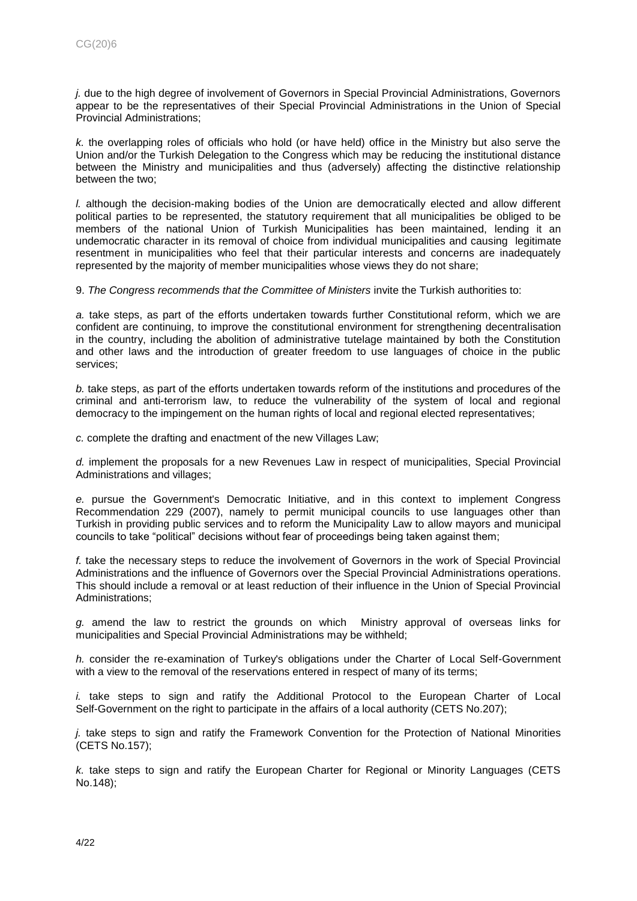*j.* due to the high degree of involvement of Governors in Special Provincial Administrations, Governors appear to be the representatives of their Special Provincial Administrations in the Union of Special Provincial Administrations;

*k.* the overlapping roles of officials who hold (or have held) office in the Ministry but also serve the Union and/or the Turkish Delegation to the Congress which may be reducing the institutional distance between the Ministry and municipalities and thus (adversely) affecting the distinctive relationship between the two;

*l.* although the decision-making bodies of the Union are democratically elected and allow different political parties to be represented, the statutory requirement that all municipalities be obliged to be members of the national Union of Turkish Municipalities has been maintained, lending it an undemocratic character in its removal of choice from individual municipalities and causing legitimate resentment in municipalities who feel that their particular interests and concerns are inadequately represented by the majority of member municipalities whose views they do not share;

9. *The Congress recommends that the Committee of Ministers* invite the Turkish authorities to:

*a.* take steps, as part of the efforts undertaken towards further Constitutional reform, which we are confident are continuing, to improve the constitutional environment for strengthening decentralisation in the country, including the abolition of administrative tutelage maintained by both the Constitution and other laws and the introduction of greater freedom to use languages of choice in the public services;

*b.* take steps, as part of the efforts undertaken towards reform of the institutions and procedures of the criminal and anti-terrorism law, to reduce the vulnerability of the system of local and regional democracy to the impingement on the human rights of local and regional elected representatives;

*c.* complete the drafting and enactment of the new Villages Law;

*d.* implement the proposals for a new Revenues Law in respect of municipalities, Special Provincial Administrations and villages;

*e.* pursue the Government's Democratic Initiative, and in this context to implement Congress Recommendation 229 (2007), namely to permit municipal councils to use languages other than Turkish in providing public services and to reform the Municipality Law to allow mayors and municipal councils to take "political" decisions without fear of proceedings being taken against them;

*f.* take the necessary steps to reduce the involvement of Governors in the work of Special Provincial Administrations and the influence of Governors over the Special Provincial Administrations operations. This should include a removal or at least reduction of their influence in the Union of Special Provincial Administrations;

*g.* amend the law to restrict the grounds on which Ministry approval of overseas links for municipalities and Special Provincial Administrations may be withheld;

*h.* consider the re-examination of Turkey's obligations under the Charter of Local Self-Government with a view to the removal of the reservations entered in respect of many of its terms;

*i.* take steps to sign and ratify the Additional Protocol to the European Charter of Local Self-Government on the right to participate in the affairs of a local authority (CETS No.207);

*j.* take steps to sign and ratify the Framework Convention for the Protection of National Minorities (CETS No.157);

*k.* take steps to sign and ratify the European Charter for Regional or Minority Languages (CETS No.148);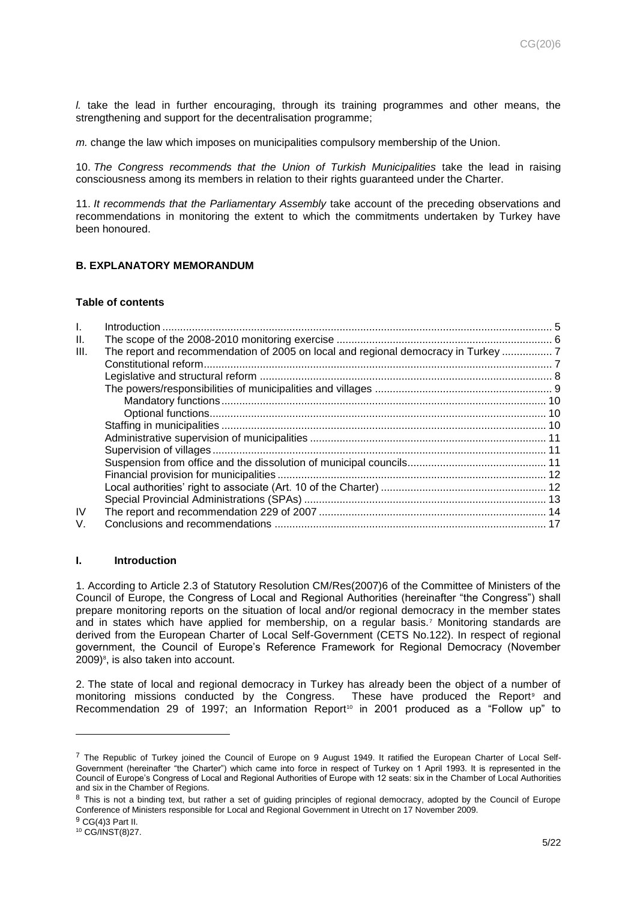*l.* take the lead in further encouraging, through its training programmes and other means, the strengthening and support for the decentralisation programme;

*m.* change the law which imposes on municipalities compulsory membership of the Union.

10. *The Congress recommends that the Union of Turkish Municipalities* take the lead in raising consciousness among its members in relation to their rights guaranteed under the Charter.

11. *It recommends that the Parliamentary Assembly* take account of the preceding observations and recommendations in monitoring the extent to which the commitments undertaken by Turkey have been honoured.

# <span id="page-4-0"></span>**B. EXPLANATORY MEMORANDUM**

## **Table of contents**

| II.  |                                                                                 |  |
|------|---------------------------------------------------------------------------------|--|
| III. | The report and recommendation of 2005 on local and regional democracy in Turkey |  |
|      |                                                                                 |  |
|      |                                                                                 |  |
|      |                                                                                 |  |
|      |                                                                                 |  |
|      |                                                                                 |  |
|      |                                                                                 |  |
|      |                                                                                 |  |
|      |                                                                                 |  |
|      |                                                                                 |  |
|      |                                                                                 |  |
|      |                                                                                 |  |
|      |                                                                                 |  |
| IV   |                                                                                 |  |
| V.   |                                                                                 |  |
|      |                                                                                 |  |

## <span id="page-4-1"></span>**I. Introduction**

1. According to Article 2.3 of Statutory Resolution CM/Res(2007)6 of the Committee of Ministers of the Council of Europe, the Congress of Local and Regional Authorities (hereinafter "the Congress") shall prepare monitoring reports on the situation of local and/or regional democracy in the member states and in states which have applied for membership, on a regular basis.<sup>7</sup> Monitoring standards are derived from the European Charter of Local Self-Government (CETS No.122). In respect of regional government, the Council of Europe's Reference Framework for Regional Democracy (November 2009)<sup>8</sup>, is also taken into account.

2. The state of local and regional democracy in Turkey has already been the object of a number of monitoring missions conducted by the Congress. These have produced the Report<sup>9</sup> and Recommendation 29 of 1997; an Information Report<sup>10</sup> in 2001 produced as a "Follow up" to

 $^7$  The Republic of Turkey joined the Council of Europe on 9 August 1949. It ratified the European Charter of Local Self-Government (hereinafter "the Charter") which came into force in respect of Turkey on 1 April 1993. It is represented in the Council of Europe's Congress of Local and Regional Authorities of Europe with 12 seats: six in the Chamber of Local Authorities and six in the Chamber of Regions.

<sup>&</sup>lt;sup>8</sup> This is not a binding text, but rather a set of guiding principles of regional democracy, adopted by the Council of Europe Conference of Ministers responsible for Local and Regional Government in Utrecht on 17 November 2009.

<sup>9</sup> CG(4)3 Part II.

<sup>10</sup> CG/INST(8)27.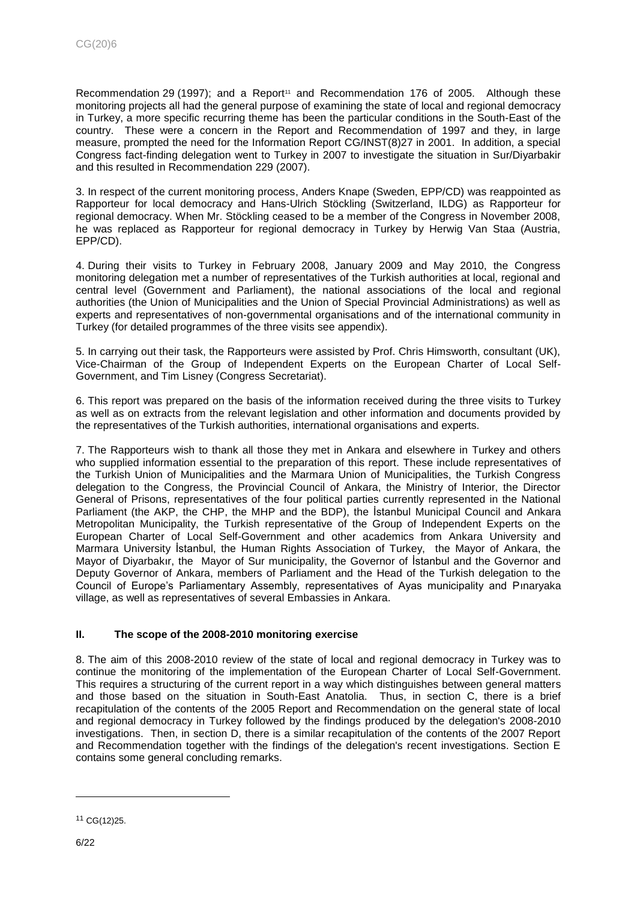Recommendation 29 (1997); and a Report<sup>11</sup> and Recommendation 176 of 2005. Although these monitoring projects all had the general purpose of examining the state of local and regional democracy in Turkey, a more specific recurring theme has been the particular conditions in the South-East of the country. These were a concern in the Report and Recommendation of 1997 and they, in large measure, prompted the need for the Information Report CG/INST(8)27 in 2001. In addition, a special Congress fact-finding delegation went to Turkey in 2007 to investigate the situation in Sur/Diyarbakir and this resulted in Recommendation 229 (2007).

3. In respect of the current monitoring process, Anders Knape (Sweden, EPP/CD) was reappointed as Rapporteur for local democracy and Hans-Ulrich Stöckling (Switzerland, ILDG) as Rapporteur for regional democracy. When Mr. Stöckling ceased to be a member of the Congress in November 2008, he was replaced as Rapporteur for regional democracy in Turkey by Herwig Van Staa (Austria, EPP/CD).

4. During their visits to Turkey in February 2008, January 2009 and May 2010, the Congress monitoring delegation met a number of representatives of the Turkish authorities at local, regional and central level (Government and Parliament), the national associations of the local and regional authorities (the Union of Municipalities and the Union of Special Provincial Administrations) as well as experts and representatives of non-governmental organisations and of the international community in Turkey (for detailed programmes of the three visits see appendix).

5. In carrying out their task, the Rapporteurs were assisted by Prof. Chris Himsworth, consultant (UK), Vice-Chairman of the Group of Independent Experts on the European Charter of Local Self-Government, and Tim Lisney (Congress Secretariat).

6. This report was prepared on the basis of the information received during the three visits to Turkey as well as on extracts from the relevant legislation and other information and documents provided by the representatives of the Turkish authorities, international organisations and experts.

7. The Rapporteurs wish to thank all those they met in Ankara and elsewhere in Turkey and others who supplied information essential to the preparation of this report. These include representatives of the Turkish Union of Municipalities and the Marmara Union of Municipalities, the Turkish Congress delegation to the Congress, the Provincial Council of Ankara, the Ministry of Interior, the Director General of Prisons, representatives of the four political parties currently represented in the National Parliament (the AKP, the CHP, the MHP and the BDP), the İstanbul Municipal Council and Ankara Metropolitan Municipality, the Turkish representative of the Group of Independent Experts on the European Charter of Local Self-Government and other academics from Ankara University and Marmara University İstanbul, the Human Rights Association of Turkey, the Mayor of Ankara, the Mayor of Diyarbakır, the Mayor of Sur municipality, the Governor of İstanbul and the Governor and Deputy Governor of Ankara, members of Parliament and the Head of the Turkish delegation to the Council of Europe's Parliamentary Assembly, representatives of Ayas municipality and Pınaryaka village, as well as representatives of several Embassies in Ankara.

# <span id="page-5-0"></span>**II. The scope of the 2008-2010 monitoring exercise**

8. The aim of this 2008-2010 review of the state of local and regional democracy in Turkey was to continue the monitoring of the implementation of the European Charter of Local Self-Government. This requires a structuring of the current report in a way which distinguishes between general matters and those based on the situation in South-East Anatolia. Thus, in section C, there is a brief recapitulation of the contents of the 2005 Report and Recommendation on the general state of local and regional democracy in Turkey followed by the findings produced by the delegation's 2008-2010 investigations. Then, in section D, there is a similar recapitulation of the contents of the 2007 Report and Recommendation together with the findings of the delegation's recent investigations. Section E contains some general concluding remarks.

<sup>11</sup> CG(12)25.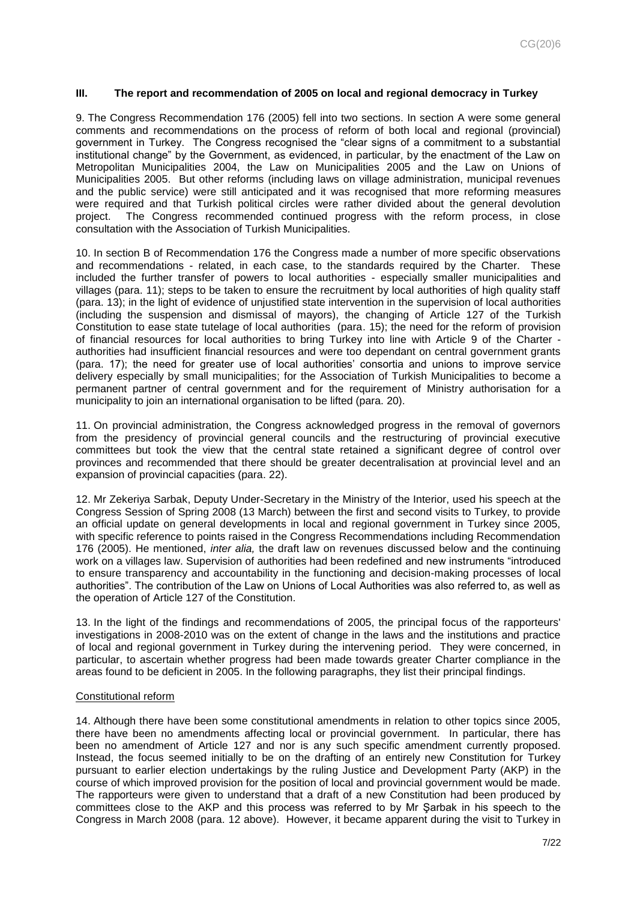## <span id="page-6-0"></span>**III. The report and recommendation of 2005 on local and regional democracy in Turkey**

9. The Congress Recommendation 176 (2005) fell into two sections. In section A were some general comments and recommendations on the process of reform of both local and regional (provincial) government in Turkey. The Congress recognised the "clear signs of a commitment to a substantial institutional change" by the Government, as evidenced, in particular, by the enactment of the Law on Metropolitan Municipalities 2004, the Law on Municipalities 2005 and the Law on Unions of Municipalities 2005. But other reforms (including laws on village administration, municipal revenues and the public service) were still anticipated and it was recognised that more reforming measures were required and that Turkish political circles were rather divided about the general devolution project. The Congress recommended continued progress with the reform process, in close consultation with the Association of Turkish Municipalities.

10. In section B of Recommendation 176 the Congress made a number of more specific observations and recommendations - related, in each case, to the standards required by the Charter. These included the further transfer of powers to local authorities - especially smaller municipalities and villages (para. 11); steps to be taken to ensure the recruitment by local authorities of high quality staff (para. 13); in the light of evidence of unjustified state intervention in the supervision of local authorities (including the suspension and dismissal of mayors), the changing of Article 127 of the Turkish Constitution to ease state tutelage of local authorities (para. 15); the need for the reform of provision of financial resources for local authorities to bring Turkey into line with Article 9 of the Charter authorities had insufficient financial resources and were too dependant on central government grants (para. 17); the need for greater use of local authorities' consortia and unions to improve service delivery especially by small municipalities; for the Association of Turkish Municipalities to become a permanent partner of central government and for the requirement of Ministry authorisation for a municipality to join an international organisation to be lifted (para. 20).

11. On provincial administration, the Congress acknowledged progress in the removal of governors from the presidency of provincial general councils and the restructuring of provincial executive committees but took the view that the central state retained a significant degree of control over provinces and recommended that there should be greater decentralisation at provincial level and an expansion of provincial capacities (para. 22).

12. Mr Zekeriya Sarbak, Deputy Under-Secretary in the Ministry of the Interior, used his speech at the Congress Session of Spring 2008 (13 March) between the first and second visits to Turkey, to provide an official update on general developments in local and regional government in Turkey since 2005, with specific reference to points raised in the Congress Recommendations including Recommendation 176 (2005). He mentioned, *inter alia,* the draft law on revenues discussed below and the continuing work on a villages law. Supervision of authorities had been redefined and new instruments "introduced to ensure transparency and accountability in the functioning and decision-making processes of local authorities". The contribution of the Law on Unions of Local Authorities was also referred to, as well as the operation of Article 127 of the Constitution.

13. In the light of the findings and recommendations of 2005, the principal focus of the rapporteurs' investigations in 2008-2010 was on the extent of change in the laws and the institutions and practice of local and regional government in Turkey during the intervening period. They were concerned, in particular, to ascertain whether progress had been made towards greater Charter compliance in the areas found to be deficient in 2005. In the following paragraphs, they list their principal findings.

#### <span id="page-6-1"></span>Constitutional reform

14. Although there have been some constitutional amendments in relation to other topics since 2005, there have been no amendments affecting local or provincial government. In particular, there has been no amendment of Article 127 and nor is any such specific amendment currently proposed. Instead, the focus seemed initially to be on the drafting of an entirely new Constitution for Turkey pursuant to earlier election undertakings by the ruling Justice and Development Party (AKP) in the course of which improved provision for the position of local and provincial government would be made. The rapporteurs were given to understand that a draft of a new Constitution had been produced by committees close to the AKP and this process was referred to by Mr Şarbak in his speech to the Congress in March 2008 (para. 12 above). However, it became apparent during the visit to Turkey in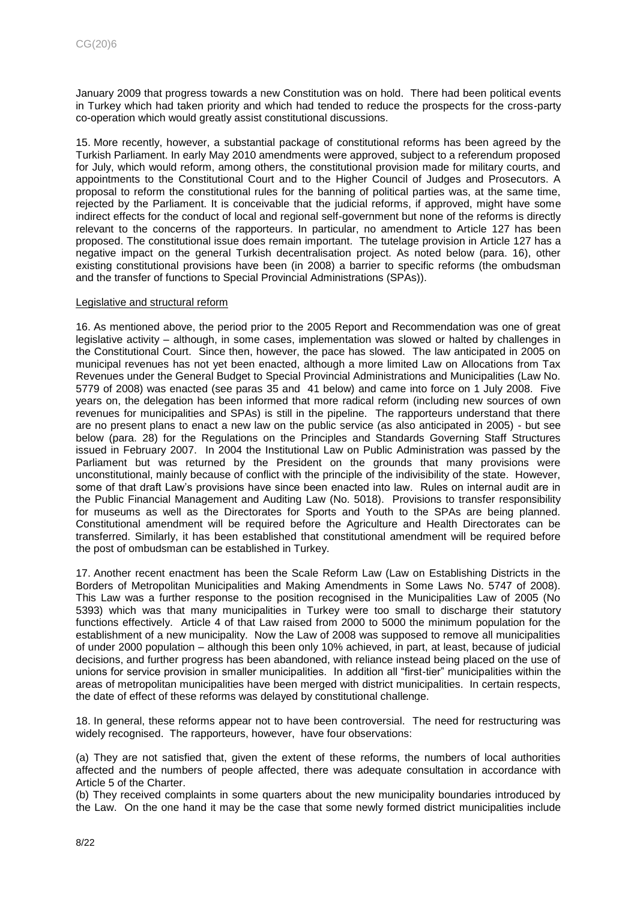January 2009 that progress towards a new Constitution was on hold. There had been political events in Turkey which had taken priority and which had tended to reduce the prospects for the cross-party co-operation which would greatly assist constitutional discussions.

15. More recently, however, a substantial package of constitutional reforms has been agreed by the Turkish Parliament. In early May 2010 amendments were approved, subject to a referendum proposed for July, which would reform, among others, the constitutional provision made for military courts, and appointments to the Constitutional Court and to the Higher Council of Judges and Prosecutors. A proposal to reform the constitutional rules for the banning of political parties was, at the same time, rejected by the Parliament. It is conceivable that the judicial reforms, if approved, might have some indirect effects for the conduct of local and regional self-government but none of the reforms is directly relevant to the concerns of the rapporteurs. In particular, no amendment to Article 127 has been proposed. The constitutional issue does remain important. The tutelage provision in Article 127 has a negative impact on the general Turkish decentralisation project. As noted below (para. 16), other existing constitutional provisions have been (in 2008) a barrier to specific reforms (the ombudsman and the transfer of functions to Special Provincial Administrations (SPAs)).

#### <span id="page-7-0"></span>Legislative and structural reform

16. As mentioned above, the period prior to the 2005 Report and Recommendation was one of great legislative activity – although, in some cases, implementation was slowed or halted by challenges in the Constitutional Court. Since then, however, the pace has slowed. The law anticipated in 2005 on municipal revenues has not yet been enacted, although a more limited Law on Allocations from Tax Revenues under the General Budget to Special Provincial Administrations and Municipalities (Law No. 5779 of 2008) was enacted (see paras 35 and 41 below) and came into force on 1 July 2008. Five years on, the delegation has been informed that more radical reform (including new sources of own revenues for municipalities and SPAs) is still in the pipeline. The rapporteurs understand that there are no present plans to enact a new law on the public service (as also anticipated in 2005) - but see below (para. 28) for the Regulations on the Principles and Standards Governing Staff Structures issued in February 2007. In 2004 the Institutional Law on Public Administration was passed by the Parliament but was returned by the President on the grounds that many provisions were unconstitutional, mainly because of conflict with the principle of the indivisibility of the state. However, some of that draft Law's provisions have since been enacted into law. Rules on internal audit are in the Public Financial Management and Auditing Law (No. 5018). Provisions to transfer responsibility for museums as well as the Directorates for Sports and Youth to the SPAs are being planned. Constitutional amendment will be required before the Agriculture and Health Directorates can be transferred. Similarly, it has been established that constitutional amendment will be required before the post of ombudsman can be established in Turkey.

17. Another recent enactment has been the Scale Reform Law (Law on Establishing Districts in the Borders of Metropolitan Municipalities and Making Amendments in Some Laws No. 5747 of 2008). This Law was a further response to the position recognised in the Municipalities Law of 2005 (No 5393) which was that many municipalities in Turkey were too small to discharge their statutory functions effectively. Article 4 of that Law raised from 2000 to 5000 the minimum population for the establishment of a new municipality. Now the Law of 2008 was supposed to remove all municipalities of under 2000 population – although this been only 10% achieved, in part, at least, because of judicial decisions, and further progress has been abandoned, with reliance instead being placed on the use of unions for service provision in smaller municipalities. In addition all "first-tier" municipalities within the areas of metropolitan municipalities have been merged with district municipalities. In certain respects, the date of effect of these reforms was delayed by constitutional challenge.

18. In general, these reforms appear not to have been controversial. The need for restructuring was widely recognised. The rapporteurs, however, have four observations:

(a) They are not satisfied that, given the extent of these reforms, the numbers of local authorities affected and the numbers of people affected, there was adequate consultation in accordance with Article 5 of the Charter.

(b) They received complaints in some quarters about the new municipality boundaries introduced by the Law. On the one hand it may be the case that some newly formed district municipalities include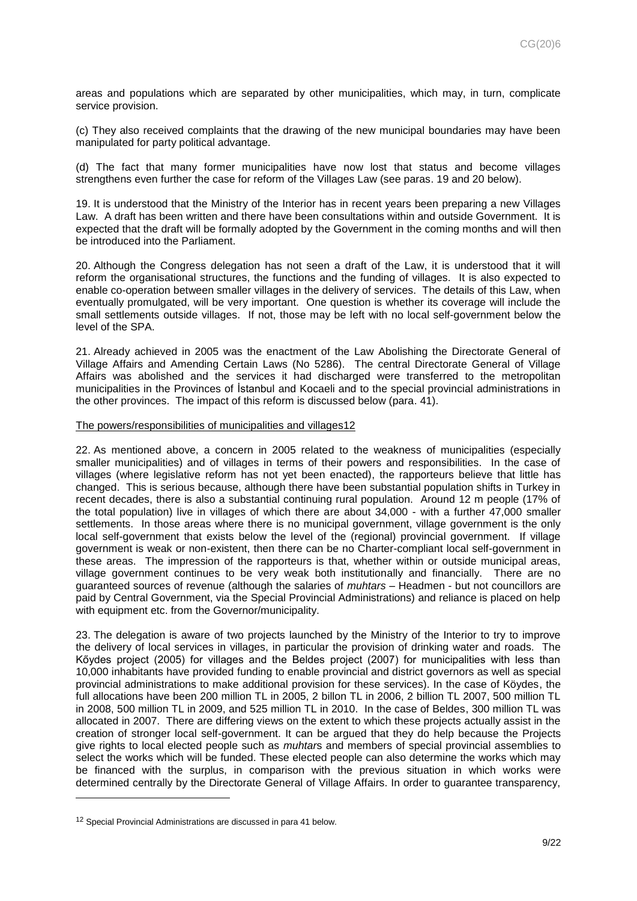areas and populations which are separated by other municipalities, which may, in turn, complicate service provision.

(c) They also received complaints that the drawing of the new municipal boundaries may have been manipulated for party political advantage.

(d) The fact that many former municipalities have now lost that status and become villages strengthens even further the case for reform of the Villages Law (see paras. 19 and 20 below).

19. It is understood that the Ministry of the Interior has in recent years been preparing a new Villages Law. A draft has been written and there have been consultations within and outside Government. It is expected that the draft will be formally adopted by the Government in the coming months and will then be introduced into the Parliament.

20. Although the Congress delegation has not seen a draft of the Law, it is understood that it will reform the organisational structures, the functions and the funding of villages. It is also expected to enable co-operation between smaller villages in the delivery of services. The details of this Law, when eventually promulgated, will be very important. One question is whether its coverage will include the small settlements outside villages. If not, those may be left with no local self-government below the level of the SPA.

21. Already achieved in 2005 was the enactment of the Law Abolishing the Directorate General of Village Affairs and Amending Certain Laws (No 5286). The central Directorate General of Village Affairs was abolished and the services it had discharged were transferred to the metropolitan municipalities in the Provinces of İstanbul and Kocaeli and to the special provincial administrations in the other provinces. The impact of this reform is discussed below (para. 41).

#### <span id="page-8-0"></span>The powers/responsibilities of municipalities and villages12

22. As mentioned above, a concern in 2005 related to the weakness of municipalities (especially smaller municipalities) and of villages in terms of their powers and responsibilities. In the case of villages (where legislative reform has not yet been enacted), the rapporteurs believe that little has changed. This is serious because, although there have been substantial population shifts in Turkey in recent decades, there is also a substantial continuing rural population. Around 12 m people (17% of the total population) live in villages of which there are about 34,000 - with a further 47,000 smaller settlements. In those areas where there is no municipal government, village government is the only local self-government that exists below the level of the (regional) provincial government. If village government is weak or non-existent, then there can be no Charter-compliant local self-government in these areas. The impression of the rapporteurs is that, whether within or outside municipal areas, village government continues to be very weak both institutionally and financially. There are no guaranteed sources of revenue (although the salaries of *muhtars* – Headmen - but not councillors are paid by Central Government, via the Special Provincial Administrations) and reliance is placed on help with equipment etc. from the Governor/municipality.

23. The delegation is aware of two projects launched by the Ministry of the Interior to try to improve the delivery of local services in villages, in particular the provision of drinking water and roads. The Kőydes project (2005) for villages and the Beldes project (2007) for municipalities with less than 10,000 inhabitants have provided funding to enable provincial and district governors as well as special provincial administrations to make additional provision for these services). In the case of Köydes, the full allocations have been 200 million TL in 2005, 2 billon TL in 2006, 2 billion TL 2007, 500 million TL in 2008, 500 million TL in 2009, and 525 million TL in 2010. In the case of Beldes, 300 million TL was allocated in 2007. There are differing views on the extent to which these projects actually assist in the creation of stronger local self-government. It can be argued that they do help because the Projects give rights to local elected people such as *muhtar*s and members of special provincial assemblies to select the works which will be funded. These elected people can also determine the works which may be financed with the surplus, in comparison with the previous situation in which works were determined centrally by the Directorate General of Village Affairs. In order to guarantee transparency,

<sup>12</sup> Special Provincial Administrations are discussed in para 41 below.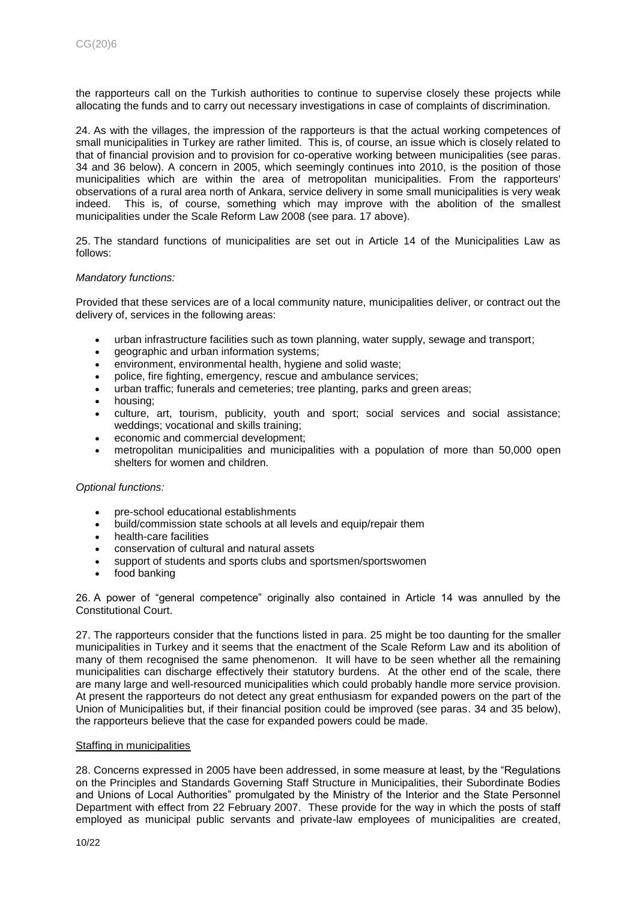the rapporteurs call on the Turkish authorities to continue to supervise closely these projects while allocating the funds and to carry out necessary investigations in case of complaints of discrimination.

24. As with the villages, the impression of the rapporteurs is that the actual working competences of small municipalities in Turkey are rather limited. This is, of course, an issue which is closely related to that of financial provision and to provision for co-operative working between municipalities (see paras. 34 and 36 below). A concern in 2005, which seemingly continues into 2010, is the position of those municipalities which are within the area of metropolitan municipalities. From the rapporteurs' observations of a rural area north of Ankara, service delivery in some small municipalities is very weak indeed. This is, of course, something which may improve with the abolition of the smallest municipalities under the Scale Reform Law 2008 (see para. 17 above).

25. The standard functions of municipalities are set out in Article 14 of the Municipalities Law as follows:

#### <span id="page-9-0"></span>*Mandatory functions:*

Provided that these services are of a local community nature, municipalities deliver, or contract out the delivery of, services in the following areas:

- urban infrastructure facilities such as town planning, water supply, sewage and transport;
- geographic and urban information systems;
- environment, environmental health, hygiene and solid waste;
- police, fire fighting, emergency, rescue and ambulance services;
- urban traffic; funerals and cemeteries; tree planting, parks and green areas;
- housing;
- culture, art, tourism, publicity, youth and sport; social services and social assistance; weddings; vocational and skills training;
- economic and commercial development;
- metropolitan municipalities and municipalities with a population of more than 50,000 open shelters for women and children.

## <span id="page-9-1"></span>*Optional functions:*

- pre-school educational establishments
- build/commission state schools at all levels and equip/repair them
- health-care facilities
- conservation of cultural and natural assets
- support of students and sports clubs and sportsmen/sportswomen
- food banking

26. A power of "general competence" originally also contained in Article 14 was annulled by the Constitutional Court.

27. The rapporteurs consider that the functions listed in para. 25 might be too daunting for the smaller municipalities in Turkey and it seems that the enactment of the Scale Reform Law and its abolition of many of them recognised the same phenomenon. It will have to be seen whether all the remaining municipalities can discharge effectively their statutory burdens. At the other end of the scale, there are many large and well-resourced municipalities which could probably handle more service provision. At present the rapporteurs do not detect any great enthusiasm for expanded powers on the part of the Union of Municipalities but, if their financial position could be improved (see paras. 34 and 35 below), the rapporteurs believe that the case for expanded powers could be made.

## <span id="page-9-2"></span>Staffing in municipalities

28. Concerns expressed in 2005 have been addressed, in some measure at least, by the "Regulations on the Principles and Standards Governing Staff Structure in Municipalities, their Subordinate Bodies and Unions of Local Authorities" promulgated by the Ministry of the Interior and the State Personnel Department with effect from 22 February 2007. These provide for the way in which the posts of staff employed as municipal public servants and private-law employees of municipalities are created,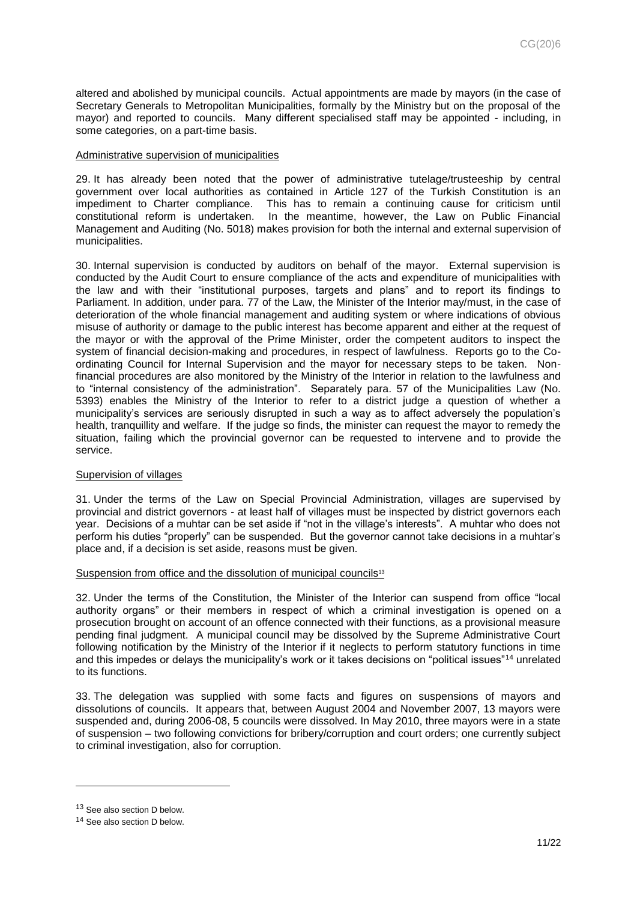altered and abolished by municipal councils. Actual appointments are made by mayors (in the case of Secretary Generals to Metropolitan Municipalities, formally by the Ministry but on the proposal of the mayor) and reported to councils. Many different specialised staff may be appointed - including, in some categories, on a part-time basis.

#### <span id="page-10-0"></span>Administrative supervision of municipalities

29. It has already been noted that the power of administrative tutelage/trusteeship by central government over local authorities as contained in Article 127 of the Turkish Constitution is an impediment to Charter compliance. This has to remain a continuing cause for criticism until constitutional reform is undertaken. In the meantime, however, the Law on Public Financial Management and Auditing (No. 5018) makes provision for both the internal and external supervision of municipalities.

30. Internal supervision is conducted by auditors on behalf of the mayor. External supervision is conducted by the Audit Court to ensure compliance of the acts and expenditure of municipalities with the law and with their "institutional purposes, targets and plans" and to report its findings to Parliament. In addition, under para. 77 of the Law, the Minister of the Interior may/must, in the case of deterioration of the whole financial management and auditing system or where indications of obvious misuse of authority or damage to the public interest has become apparent and either at the request of the mayor or with the approval of the Prime Minister, order the competent auditors to inspect the system of financial decision-making and procedures, in respect of lawfulness. Reports go to the Coordinating Council for Internal Supervision and the mayor for necessary steps to be taken. Nonfinancial procedures are also monitored by the Ministry of the Interior in relation to the lawfulness and to "internal consistency of the administration". Separately para. 57 of the Municipalities Law (No. 5393) enables the Ministry of the Interior to refer to a district judge a question of whether a municipality's services are seriously disrupted in such a way as to affect adversely the population's health, tranquillity and welfare. If the judge so finds, the minister can request the mayor to remedy the situation, failing which the provincial governor can be requested to intervene and to provide the service.

#### <span id="page-10-1"></span>Supervision of villages

31. Under the terms of the Law on Special Provincial Administration, villages are supervised by provincial and district governors - at least half of villages must be inspected by district governors each year. Decisions of a muhtar can be set aside if "not in the village's interests". A muhtar who does not perform his duties "properly" can be suspended. But the governor cannot take decisions in a muhtar's place and, if a decision is set aside, reasons must be given.

#### <span id="page-10-2"></span>Suspension from office and the dissolution of municipal councils<sup>13</sup>

32. Under the terms of the Constitution, the Minister of the Interior can suspend from office "local authority organs" or their members in respect of which a criminal investigation is opened on a prosecution brought on account of an offence connected with their functions, as a provisional measure pending final judgment. A municipal council may be dissolved by the Supreme Administrative Court following notification by the Ministry of the Interior if it neglects to perform statutory functions in time and this impedes or delays the municipality's work or it takes decisions on "political issues"<sup>14</sup> unrelated to its functions.

33. The delegation was supplied with some facts and figures on suspensions of mayors and dissolutions of councils. It appears that, between August 2004 and November 2007, 13 mayors were suspended and, during 2006-08, 5 councils were dissolved. In May 2010, three mayors were in a state of suspension – two following convictions for bribery/corruption and court orders; one currently subject to criminal investigation, also for corruption.

<sup>13</sup> See also section D below.

<sup>14</sup> See also section D below.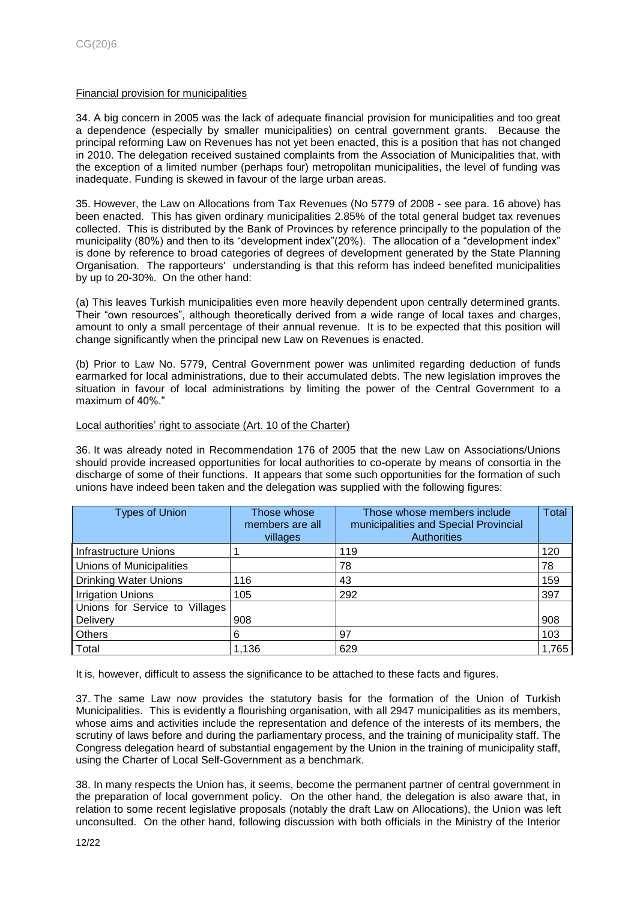## <span id="page-11-0"></span>Financial provision for municipalities

34. A big concern in 2005 was the lack of adequate financial provision for municipalities and too great a dependence (especially by smaller municipalities) on central government grants. Because the principal reforming Law on Revenues has not yet been enacted, this is a position that has not changed in 2010. The delegation received sustained complaints from the Association of Municipalities that, with the exception of a limited number (perhaps four) metropolitan municipalities, the level of funding was inadequate. Funding is skewed in favour of the large urban areas.

35. However, the Law on Allocations from Tax Revenues (No 5779 of 2008 - see para. 16 above) has been enacted. This has given ordinary municipalities 2.85% of the total general budget tax revenues collected. This is distributed by the Bank of Provinces by reference principally to the population of the municipality (80%) and then to its "development index"(20%). The allocation of a "development index" is done by reference to broad categories of degrees of development generated by the State Planning Organisation. The rapporteurs' understanding is that this reform has indeed benefited municipalities by up to 20-30%. On the other hand:

(a) This leaves Turkish municipalities even more heavily dependent upon centrally determined grants. Their "own resources", although theoretically derived from a wide range of local taxes and charges, amount to only a small percentage of their annual revenue. It is to be expected that this position will change significantly when the principal new Law on Revenues is enacted.

(b) Prior to Law No. 5779, Central Government power was unlimited regarding deduction of funds earmarked for local administrations, due to their accumulated debts. The new legislation improves the situation in favour of local administrations by limiting the power of the Central Government to a maximum of 40%."

## <span id="page-11-1"></span>Local authorities' right to associate (Art. 10 of the Charter)

36. It was already noted in Recommendation 176 of 2005 that the new Law on Associations/Unions should provide increased opportunities for local authorities to co-operate by means of consortia in the discharge of some of their functions. It appears that some such opportunities for the formation of such unions have indeed been taken and the delegation was supplied with the following figures:

| <b>Types of Union</b>          | Those whose<br>members are all<br>villages | Those whose members include<br>municipalities and Special Provincial<br><b>Authorities</b> | <b>Total</b> |
|--------------------------------|--------------------------------------------|--------------------------------------------------------------------------------------------|--------------|
| <b>Infrastructure Unions</b>   |                                            | 119                                                                                        | 120          |
| Unions of Municipalities       |                                            | 78                                                                                         | 78           |
| <b>Drinking Water Unions</b>   | 116                                        | 43                                                                                         | 159          |
| <b>Irrigation Unions</b>       | 105                                        | 292                                                                                        | 397          |
| Unions for Service to Villages |                                            |                                                                                            |              |
| Delivery                       | 908                                        |                                                                                            | 908          |
| <b>Others</b>                  | 6                                          | 97                                                                                         | 103          |
| Total                          | 1,136                                      | 629                                                                                        | 1,765        |

It is, however, difficult to assess the significance to be attached to these facts and figures.

37. The same Law now provides the statutory basis for the formation of the Union of Turkish Municipalities. This is evidently a flourishing organisation, with all 2947 municipalities as its members, whose aims and activities include the representation and defence of the interests of its members, the scrutiny of laws before and during the parliamentary process, and the training of municipality staff. The Congress delegation heard of substantial engagement by the Union in the training of municipality staff, using the Charter of Local Self-Government as a benchmark.

38. In many respects the Union has, it seems, become the permanent partner of central government in the preparation of local government policy. On the other hand, the delegation is also aware that, in relation to some recent legislative proposals (notably the draft Law on Allocations), the Union was left unconsulted. On the other hand, following discussion with both officials in the Ministry of the Interior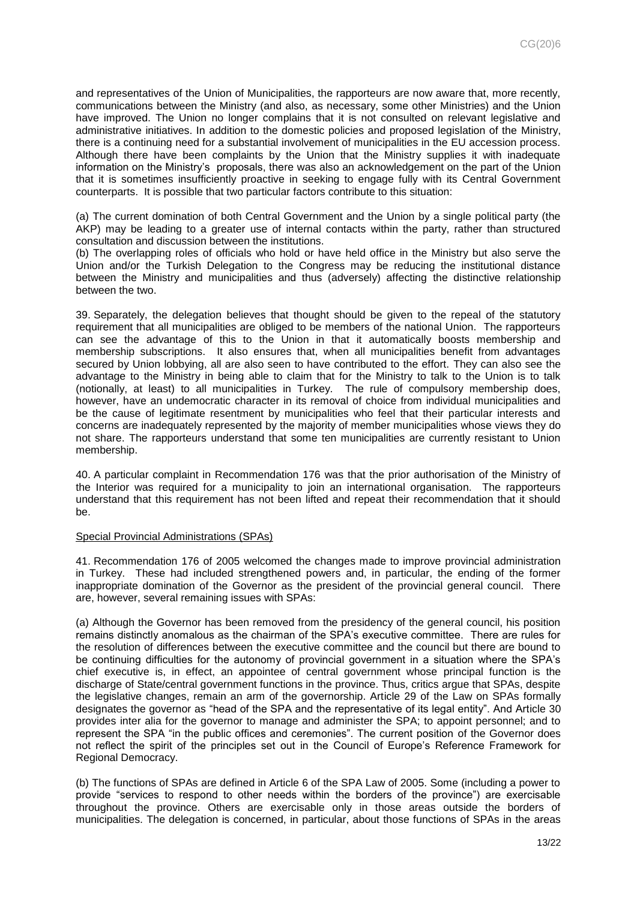and representatives of the Union of Municipalities, the rapporteurs are now aware that, more recently, communications between the Ministry (and also, as necessary, some other Ministries) and the Union have improved. The Union no longer complains that it is not consulted on relevant legislative and administrative initiatives. In addition to the domestic policies and proposed legislation of the Ministry, there is a continuing need for a substantial involvement of municipalities in the EU accession process. Although there have been complaints by the Union that the Ministry supplies it with inadequate information on the Ministry's proposals, there was also an acknowledgement on the part of the Union that it is sometimes insufficiently proactive in seeking to engage fully with its Central Government counterparts. It is possible that two particular factors contribute to this situation:

(a) The current domination of both Central Government and the Union by a single political party (the AKP) may be leading to a greater use of internal contacts within the party, rather than structured consultation and discussion between the institutions.

(b) The overlapping roles of officials who hold or have held office in the Ministry but also serve the Union and/or the Turkish Delegation to the Congress may be reducing the institutional distance between the Ministry and municipalities and thus (adversely) affecting the distinctive relationship between the two.

39. Separately, the delegation believes that thought should be given to the repeal of the statutory requirement that all municipalities are obliged to be members of the national Union. The rapporteurs can see the advantage of this to the Union in that it automatically boosts membership and membership subscriptions. It also ensures that, when all municipalities benefit from advantages secured by Union lobbying, all are also seen to have contributed to the effort. They can also see the advantage to the Ministry in being able to claim that for the Ministry to talk to the Union is to talk (notionally, at least) to all municipalities in Turkey. The rule of compulsory membership does, however, have an undemocratic character in its removal of choice from individual municipalities and be the cause of legitimate resentment by municipalities who feel that their particular interests and concerns are inadequately represented by the majority of member municipalities whose views they do not share. The rapporteurs understand that some ten municipalities are currently resistant to Union membership.

40. A particular complaint in Recommendation 176 was that the prior authorisation of the Ministry of the Interior was required for a municipality to join an international organisation. The rapporteurs understand that this requirement has not been lifted and repeat their recommendation that it should be.

#### <span id="page-12-0"></span>Special Provincial Administrations (SPAs)

41. Recommendation 176 of 2005 welcomed the changes made to improve provincial administration in Turkey. These had included strengthened powers and, in particular, the ending of the former inappropriate domination of the Governor as the president of the provincial general council. There are, however, several remaining issues with SPAs:

(a) Although the Governor has been removed from the presidency of the general council, his position remains distinctly anomalous as the chairman of the SPA's executive committee. There are rules for the resolution of differences between the executive committee and the council but there are bound to be continuing difficulties for the autonomy of provincial government in a situation where the SPA's chief executive is, in effect, an appointee of central government whose principal function is the discharge of State/central government functions in the province. Thus, critics argue that SPAs, despite the legislative changes, remain an arm of the governorship. Article 29 of the Law on SPAs formally designates the governor as "head of the SPA and the representative of its legal entity". And Article 30 provides inter alia for the governor to manage and administer the SPA; to appoint personnel; and to represent the SPA "in the public offices and ceremonies". The current position of the Governor does not reflect the spirit of the principles set out in the Council of Europe's Reference Framework for Regional Democracy.

(b) The functions of SPAs are defined in Article 6 of the SPA Law of 2005. Some (including a power to provide "services to respond to other needs within the borders of the province") are exercisable throughout the province. Others are exercisable only in those areas outside the borders of municipalities. The delegation is concerned, in particular, about those functions of SPAs in the areas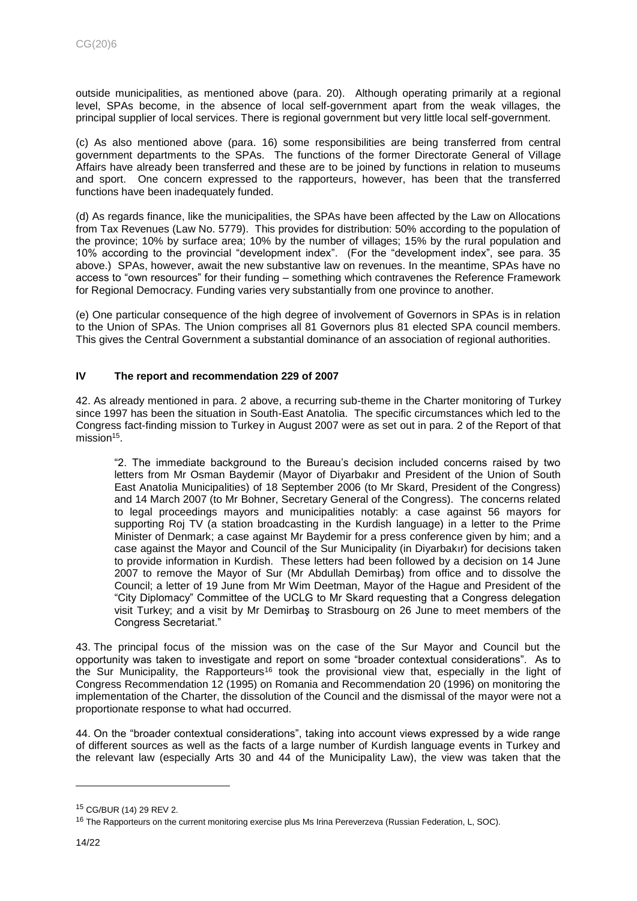outside municipalities, as mentioned above (para. 20). Although operating primarily at a regional level, SPAs become, in the absence of local self-government apart from the weak villages, the principal supplier of local services. There is regional government but very little local self-government.

(c) As also mentioned above (para. 16) some responsibilities are being transferred from central government departments to the SPAs. The functions of the former Directorate General of Village Affairs have already been transferred and these are to be joined by functions in relation to museums and sport. One concern expressed to the rapporteurs, however, has been that the transferred functions have been inadequately funded.

(d) As regards finance, like the municipalities, the SPAs have been affected by the Law on Allocations from Tax Revenues (Law No. 5779). This provides for distribution: 50% according to the population of the province; 10% by surface area; 10% by the number of villages; 15% by the rural population and 10% according to the provincial "development index". (For the "development index", see para. 35 above.) SPAs, however, await the new substantive law on revenues. In the meantime, SPAs have no access to "own resources" for their funding – something which contravenes the Reference Framework for Regional Democracy. Funding varies very substantially from one province to another.

(e) One particular consequence of the high degree of involvement of Governors in SPAs is in relation to the Union of SPAs. The Union comprises all 81 Governors plus 81 elected SPA council members. This gives the Central Government a substantial dominance of an association of regional authorities.

# <span id="page-13-0"></span>**IV The report and recommendation 229 of 2007**

42. As already mentioned in para. 2 above, a recurring sub-theme in the Charter monitoring of Turkey since 1997 has been the situation in South-East Anatolia. The specific circumstances which led to the Congress fact-finding mission to Turkey in August 2007 were as set out in para. 2 of the Report of that mission<sup>15</sup>.

"2. The immediate background to the Bureau's decision included concerns raised by two letters from Mr Osman Baydemir (Mayor of Diyarbakır and President of the Union of South East Anatolia Municipalities) of 18 September 2006 (to Mr Skard, President of the Congress) and 14 March 2007 (to Mr Bohner, Secretary General of the Congress). The concerns related to legal proceedings mayors and municipalities notably: a case against 56 mayors for supporting Roj TV (a station broadcasting in the Kurdish language) in a letter to the Prime Minister of Denmark; a case against Mr Baydemir for a press conference given by him; and a case against the Mayor and Council of the Sur Municipality (in Diyarbakır) for decisions taken to provide information in Kurdish. These letters had been followed by a decision on 14 June 2007 to remove the Mayor of Sur (Mr Abdullah Demirbaş) from office and to dissolve the Council; a letter of 19 June from Mr Wim Deetman, Mayor of the Hague and President of the "City Diplomacy" Committee of the UCLG to Mr Skard requesting that a Congress delegation visit Turkey; and a visit by Mr Demirbaş to Strasbourg on 26 June to meet members of the Congress Secretariat."

43. The principal focus of the mission was on the case of the Sur Mayor and Council but the opportunity was taken to investigate and report on some "broader contextual considerations". As to the Sur Municipality, the Rapporteurs<sup>16</sup> took the provisional view that, especially in the light of Congress Recommendation 12 (1995) on Romania and Recommendation 20 (1996) on monitoring the implementation of the Charter, the dissolution of the Council and the dismissal of the mayor were not a proportionate response to what had occurred.

44. On the "broader contextual considerations", taking into account views expressed by a wide range of different sources as well as the facts of a large number of Kurdish language events in Turkey and the relevant law (especially Arts 30 and 44 of the Municipality Law), the view was taken that the

<sup>15</sup> CG/BUR (14) 29 REV 2.

<sup>&</sup>lt;sup>16</sup> The Rapporteurs on the current monitoring exercise plus Ms Irina Pereverzeva (Russian Federation, L, SOC).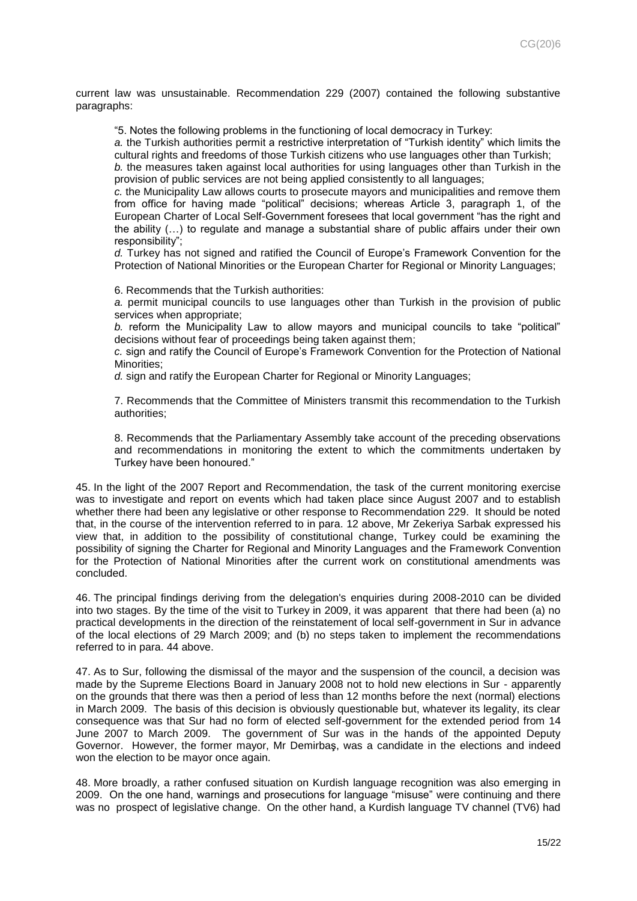current law was unsustainable. Recommendation 229 (2007) contained the following substantive paragraphs:

"5. Notes the following problems in the functioning of local democracy in Turkey:

*a.* the Turkish authorities permit a restrictive interpretation of "Turkish identity" which limits the cultural rights and freedoms of those Turkish citizens who use languages other than Turkish;

*b.* the measures taken against local authorities for using languages other than Turkish in the provision of public services are not being applied consistently to all languages;

*c.* the Municipality Law allows courts to prosecute mayors and municipalities and remove them from office for having made "political" decisions; whereas Article 3, paragraph 1, of the European Charter of Local Self-Government foresees that local government "has the right and the ability (…) to regulate and manage a substantial share of public affairs under their own responsibility";

*d.* Turkey has not signed and ratified the Council of Europe's Framework Convention for the Protection of National Minorities or the European Charter for Regional or Minority Languages;

6. Recommends that the Turkish authorities:

*a.* permit municipal councils to use languages other than Turkish in the provision of public services when appropriate;

*b.* reform the Municipality Law to allow mayors and municipal councils to take "political" decisions without fear of proceedings being taken against them;

*c.* sign and ratify the Council of Europe's Framework Convention for the Protection of National Minorities;

*d.* sign and ratify the European Charter for Regional or Minority Languages;

7. Recommends that the Committee of Ministers transmit this recommendation to the Turkish authorities;

8. Recommends that the Parliamentary Assembly take account of the preceding observations and recommendations in monitoring the extent to which the commitments undertaken by Turkey have been honoured."

45. In the light of the 2007 Report and Recommendation, the task of the current monitoring exercise was to investigate and report on events which had taken place since August 2007 and to establish whether there had been any legislative or other response to Recommendation 229. It should be noted that, in the course of the intervention referred to in para. 12 above, Mr Zekeriya Sarbak expressed his view that, in addition to the possibility of constitutional change, Turkey could be examining the possibility of signing the Charter for Regional and Minority Languages and the Framework Convention for the Protection of National Minorities after the current work on constitutional amendments was concluded.

46. The principal findings deriving from the delegation's enquiries during 2008-2010 can be divided into two stages. By the time of the visit to Turkey in 2009, it was apparent that there had been (a) no practical developments in the direction of the reinstatement of local self-government in Sur in advance of the local elections of 29 March 2009; and (b) no steps taken to implement the recommendations referred to in para. 44 above.

47. As to Sur, following the dismissal of the mayor and the suspension of the council, a decision was made by the Supreme Elections Board in January 2008 not to hold new elections in Sur - apparently on the grounds that there was then a period of less than 12 months before the next (normal) elections in March 2009. The basis of this decision is obviously questionable but, whatever its legality, its clear consequence was that Sur had no form of elected self-government for the extended period from 14 June 2007 to March 2009. The government of Sur was in the hands of the appointed Deputy Governor. However, the former mayor, Mr Demirbaş, was a candidate in the elections and indeed won the election to be mayor once again.

48. More broadly, a rather confused situation on Kurdish language recognition was also emerging in 2009. On the one hand, warnings and prosecutions for language "misuse" were continuing and there was no prospect of legislative change. On the other hand, a Kurdish language TV channel (TV6) had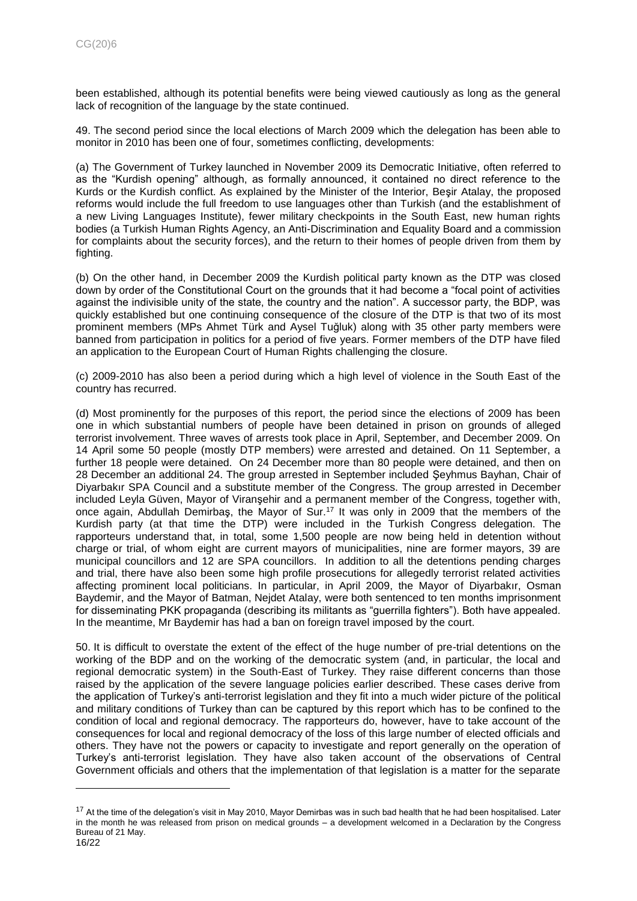been established, although its potential benefits were being viewed cautiously as long as the general lack of recognition of the language by the state continued.

49. The second period since the local elections of March 2009 which the delegation has been able to monitor in 2010 has been one of four, sometimes conflicting, developments:

(a) The Government of Turkey launched in November 2009 its Democratic Initiative, often referred to as the "Kurdish opening" although, as formally announced, it contained no direct reference to the Kurds or the Kurdish conflict. As explained by the Minister of the Interior, Beşir Atalay, the proposed reforms would include the full freedom to use languages other than Turkish (and the establishment of a new Living Languages Institute), fewer military checkpoints in the South East, new human rights bodies (a Turkish Human Rights Agency, an Anti-Discrimination and Equality Board and a commission for complaints about the security forces), and the return to their homes of people driven from them by fighting.

(b) On the other hand, in December 2009 the Kurdish political party known as the DTP was closed down by order of the Constitutional Court on the grounds that it had become a "focal point of activities against the indivisible unity of the state, the country and the nation". A successor party, the BDP, was quickly established but one continuing consequence of the closure of the DTP is that two of its most prominent members (MPs Ahmet Türk and Aysel Tuğluk) along with 35 other party members were banned from participation in politics for a period of five years. Former members of the DTP have filed an application to the European Court of Human Rights challenging the closure.

(c) 2009-2010 has also been a period during which a high level of violence in the South East of the country has recurred.

(d) Most prominently for the purposes of this report, the period since the elections of 2009 has been one in which substantial numbers of people have been detained in prison on grounds of alleged terrorist involvement. Three waves of arrests took place in April, September, and December 2009. On 14 April some 50 people (mostly DTP members) were arrested and detained. On 11 September, a further 18 people were detained. On 24 December more than 80 people were detained, and then on 28 December an additional 24. The group arrested in September included Şeyhmus Bayhan, Chair of Diyarbakır SPA Council and a substitute member of the Congress. The group arrested in December included Leyla Güven, Mayor of Viranşehir and a permanent member of the Congress, together with, once again, Abdullah Demirbaş, the Mayor of Sur.<sup>17</sup> It was only in 2009 that the members of the Kurdish party (at that time the DTP) were included in the Turkish Congress delegation. The rapporteurs understand that, in total, some 1,500 people are now being held in detention without charge or trial, of whom eight are current mayors of municipalities, nine are former mayors, 39 are municipal councillors and 12 are SPA councillors. In addition to all the detentions pending charges and trial, there have also been some high profile prosecutions for allegedly terrorist related activities affecting prominent local politicians. In particular, in April 2009, the Mayor of Diyarbakır, Osman Baydemir, and the Mayor of Batman, Nejdet Atalay, were both sentenced to ten months imprisonment for disseminating PKK propaganda (describing its militants as "guerrilla fighters"). Both have appealed. In the meantime, Mr Baydemir has had a ban on foreign travel imposed by the court.

50. It is difficult to overstate the extent of the effect of the huge number of pre-trial detentions on the working of the BDP and on the working of the democratic system (and, in particular, the local and regional democratic system) in the South-East of Turkey. They raise different concerns than those raised by the application of the severe language policies earlier described. These cases derive from the application of Turkey's anti-terrorist legislation and they fit into a much wider picture of the political and military conditions of Turkey than can be captured by this report which has to be confined to the condition of local and regional democracy. The rapporteurs do, however, have to take account of the consequences for local and regional democracy of the loss of this large number of elected officials and others. They have not the powers or capacity to investigate and report generally on the operation of Turkey's anti-terrorist legislation. They have also taken account of the observations of Central Government officials and others that the implementation of that legislation is a matter for the separate

<sup>&</sup>lt;sup>17</sup> At the time of the delegation's visit in May 2010, Mayor Demirbas was in such bad health that he had been hospitalised. Later in the month he was released from prison on medical grounds – a development welcomed in a Declaration by the Congress Bureau of 21 May.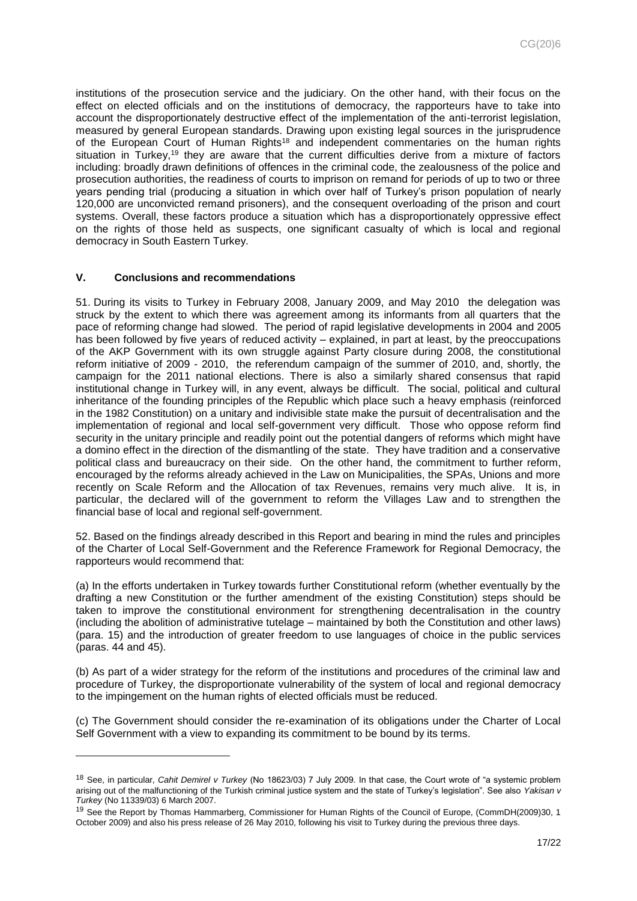institutions of the prosecution service and the judiciary. On the other hand, with their focus on the effect on elected officials and on the institutions of democracy, the rapporteurs have to take into account the disproportionately destructive effect of the implementation of the anti-terrorist legislation, measured by general European standards. Drawing upon existing legal sources in the jurisprudence of the European Court of Human Rights<sup>18</sup> and independent commentaries on the human rights situation in Turkey,<sup>19</sup> they are aware that the current difficulties derive from a mixture of factors including: broadly drawn definitions of offences in the criminal code, the zealousness of the police and prosecution authorities, the readiness of courts to imprison on remand for periods of up to two or three years pending trial (producing a situation in which over half of Turkey's prison population of nearly 120,000 are unconvicted remand prisoners), and the consequent overloading of the prison and court systems. Overall, these factors produce a situation which has a disproportionately oppressive effect on the rights of those held as suspects, one significant casualty of which is local and regional democracy in South Eastern Turkey.

## <span id="page-16-0"></span>**V. Conclusions and recommendations**

l

51. During its visits to Turkey in February 2008, January 2009, and May 2010 the delegation was struck by the extent to which there was agreement among its informants from all quarters that the pace of reforming change had slowed. The period of rapid legislative developments in 2004 and 2005 has been followed by five years of reduced activity – explained, in part at least, by the preoccupations of the AKP Government with its own struggle against Party closure during 2008, the constitutional reform initiative of 2009 - 2010, the referendum campaign of the summer of 2010, and, shortly, the campaign for the 2011 national elections. There is also a similarly shared consensus that rapid institutional change in Turkey will, in any event, always be difficult. The social, political and cultural inheritance of the founding principles of the Republic which place such a heavy emphasis (reinforced in the 1982 Constitution) on a unitary and indivisible state make the pursuit of decentralisation and the implementation of regional and local self-government very difficult. Those who oppose reform find security in the unitary principle and readily point out the potential dangers of reforms which might have a domino effect in the direction of the dismantling of the state. They have tradition and a conservative political class and bureaucracy on their side. On the other hand, the commitment to further reform, encouraged by the reforms already achieved in the Law on Municipalities, the SPAs, Unions and more recently on Scale Reform and the Allocation of tax Revenues, remains very much alive. It is, in particular, the declared will of the government to reform the Villages Law and to strengthen the financial base of local and regional self-government.

52. Based on the findings already described in this Report and bearing in mind the rules and principles of the Charter of Local Self-Government and the Reference Framework for Regional Democracy, the rapporteurs would recommend that:

(a) In the efforts undertaken in Turkey towards further Constitutional reform (whether eventually by the drafting a new Constitution or the further amendment of the existing Constitution) steps should be taken to improve the constitutional environment for strengthening decentralisation in the country (including the abolition of administrative tutelage – maintained by both the Constitution and other laws) (para. 15) and the introduction of greater freedom to use languages of choice in the public services (paras. 44 and 45).

(b) As part of a wider strategy for the reform of the institutions and procedures of the criminal law and procedure of Turkey, the disproportionate vulnerability of the system of local and regional democracy to the impingement on the human rights of elected officials must be reduced.

(c) The Government should consider the re-examination of its obligations under the Charter of Local Self Government with a view to expanding its commitment to be bound by its terms.

<sup>18</sup> See, in particular, *Cahit Demirel v Turkey* (No 18623/03) 7 July 2009. In that case, the Court wrote of "a systemic problem arising out of the malfunctioning of the Turkish criminal justice system and the state of Turkey's legislation". See also *Yakisan v Turkey* (No 11339/03) 6 March 2007.

<sup>&</sup>lt;sup>19</sup> See the Report by Thomas Hammarberg, Commissioner for Human Rights of the Council of Europe, (CommDH(2009)30, 1 October 2009) and also his press release of 26 May 2010, following his visit to Turkey during the previous three days.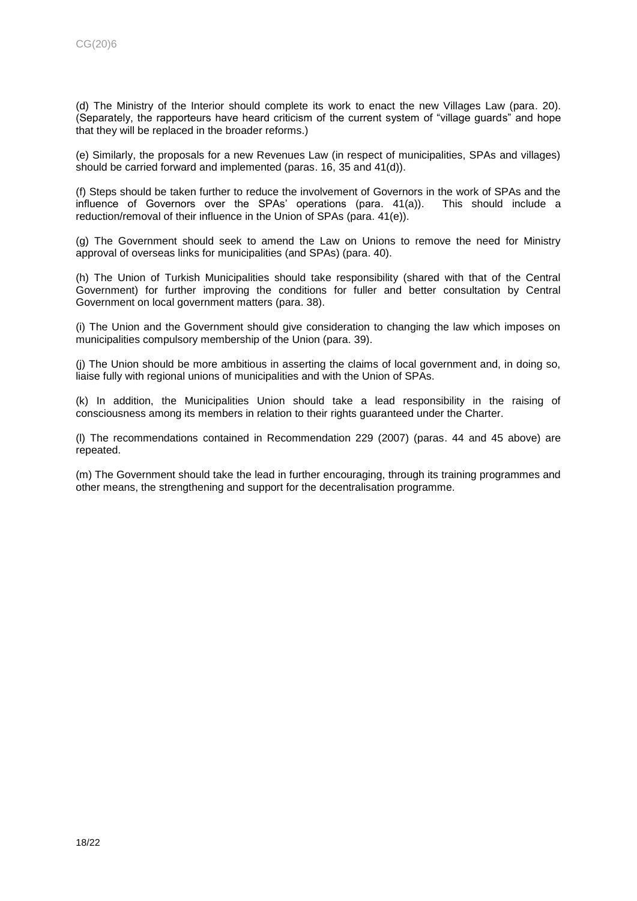(d) The Ministry of the Interior should complete its work to enact the new Villages Law (para. 20). (Separately, the rapporteurs have heard criticism of the current system of "village guards" and hope that they will be replaced in the broader reforms.)

(e) Similarly, the proposals for a new Revenues Law (in respect of municipalities, SPAs and villages) should be carried forward and implemented (paras. 16, 35 and 41(d)).

(f) Steps should be taken further to reduce the involvement of Governors in the work of SPAs and the influence of Governors over the SPAs' operations (para. 41(a)). This should include a reduction/removal of their influence in the Union of SPAs (para. 41(e)).

(g) The Government should seek to amend the Law on Unions to remove the need for Ministry approval of overseas links for municipalities (and SPAs) (para. 40).

(h) The Union of Turkish Municipalities should take responsibility (shared with that of the Central Government) for further improving the conditions for fuller and better consultation by Central Government on local government matters (para. 38).

(i) The Union and the Government should give consideration to changing the law which imposes on municipalities compulsory membership of the Union (para. 39).

(j) The Union should be more ambitious in asserting the claims of local government and, in doing so, liaise fully with regional unions of municipalities and with the Union of SPAs.

(k) In addition, the Municipalities Union should take a lead responsibility in the raising of consciousness among its members in relation to their rights guaranteed under the Charter.

(l) The recommendations contained in Recommendation 229 (2007) (paras. 44 and 45 above) are repeated.

(m) The Government should take the lead in further encouraging, through its training programmes and other means, the strengthening and support for the decentralisation programme.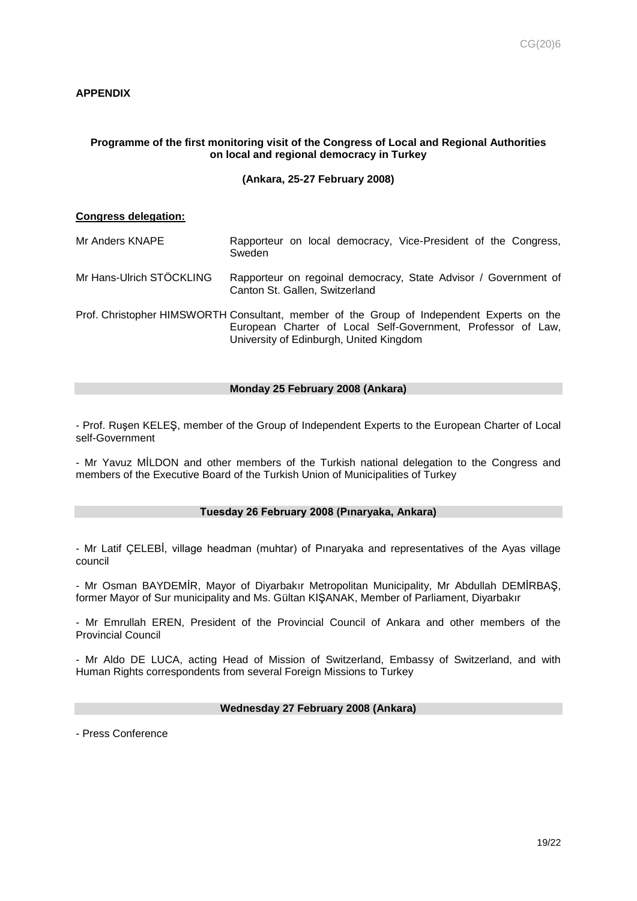# **APPENDIX**

# **Programme of the first monitoring visit of the Congress of Local and Regional Authorities on local and regional democracy in Turkey**

## **(Ankara, 25-27 February 2008)**

## **Congress delegation:**

- Mr Anders KNAPE Rapporteur on local democracy, Vice-President of the Congress, Sweden
- Mr Hans-Ulrich STÖCKLING Rapporteur on regoinal democracy, State Advisor / Government of Canton St. Gallen, Switzerland
- Prof. Christopher HIMSWORTH Consultant, member of the Group of Independent Experts on the European Charter of Local Self-Government, Professor of Law, University of Edinburgh, United Kingdom

#### **Monday 25 February 2008 (Ankara)**

- Prof. Ruşen KELEŞ, member of the Group of Independent Experts to the European Charter of Local self-Government

- Mr Yavuz MİLDON and other members of the Turkish national delegation to the Congress and members of the Executive Board of the Turkish Union of Municipalities of Turkey

## **Tuesday 26 February 2008 (Pınaryaka, Ankara)**

- Mr Latif ÇELEBİ, village headman (muhtar) of Pınaryaka and representatives of the Ayas village council

- Mr Osman BAYDEMİR, Mayor of Diyarbakır Metropolitan Municipality, Mr Abdullah DEMİRBAŞ, former Mayor of Sur municipality and Ms. Gültan KIŞANAK, Member of Parliament, Diyarbakır

- Mr Emrullah EREN, President of the Provincial Council of Ankara and other members of the Provincial Council

- Mr Aldo DE LUCA, acting Head of Mission of Switzerland, Embassy of Switzerland, and with Human Rights correspondents from several Foreign Missions to Turkey

# **Wednesday 27 February 2008 (Ankara)**

- Press Conference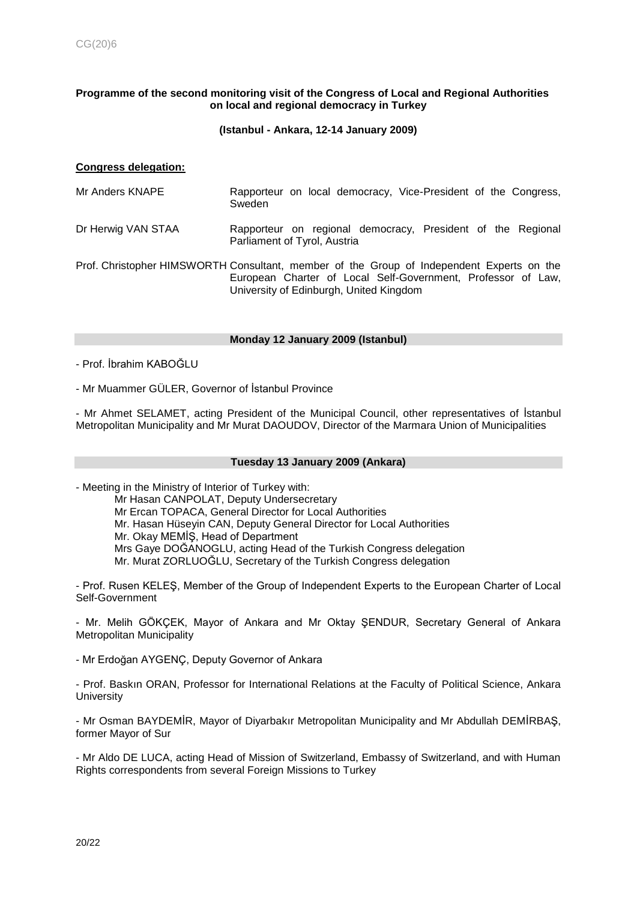## **Programme of the second monitoring visit of the Congress of Local and Regional Authorities on local and regional democracy in Turkey**

#### **(Istanbul - Ankara, 12-14 January 2009)**

## **Congress delegation:**

| Mr Anders KNAPE |        |  | Rapporteur on local democracy, Vice-President of the Congress, |  |  |
|-----------------|--------|--|----------------------------------------------------------------|--|--|
|                 | Sweden |  |                                                                |  |  |

## Dr Herwig VAN STAA Rapporteur on regional democracy, President of the Regional Parliament of Tyrol, Austria

Prof. Christopher HIMSWORTH Consultant, member of the Group of Independent Experts on the European Charter of Local Self-Government, Professor of Law, University of Edinburgh, United Kingdom

#### **Monday 12 January 2009 (Istanbul)**

- Prof. İbrahim KABOĞLU

- Mr Muammer GÜLER, Governor of İstanbul Province

- Mr Ahmet SELAMET, acting President of the Municipal Council, other representatives of İstanbul Metropolitan Municipality and Mr Murat DAOUDOV, Director of the Marmara Union of Municipalities

## **Tuesday 13 January 2009 (Ankara)**

- Meeting in the Ministry of Interior of Turkey with:

Mr Hasan CANPOLAT, Deputy Undersecretary Mr Ercan TOPACA, General Director for Local Authorities Mr. Hasan Hüseyin CAN, Deputy General Director for Local Authorities Mr. Okay MEMİŞ, Head of Department Mrs Gaye DOĞANOGLU, acting Head of the Turkish Congress delegation Mr. Murat ZORLUOĞLU, Secretary of the Turkish Congress delegation

- Prof. Rusen KELEŞ, Member of the Group of Independent Experts to the European Charter of Local Self-Government

- Mr. Melih GÖKÇEK, Mayor of Ankara and Mr Oktay ŞENDUR, Secretary General of Ankara Metropolitan Municipality

- Mr Erdoğan AYGENÇ, Deputy Governor of Ankara

- Prof. Baskın ORAN, Professor for International Relations at the Faculty of Political Science, Ankara **University** 

- Mr Osman BAYDEMİR, Mayor of Diyarbakır Metropolitan Municipality and Mr Abdullah DEMİRBAŞ, former Mayor of Sur

- Mr Aldo DE LUCA, acting Head of Mission of Switzerland, Embassy of Switzerland, and with Human Rights correspondents from several Foreign Missions to Turkey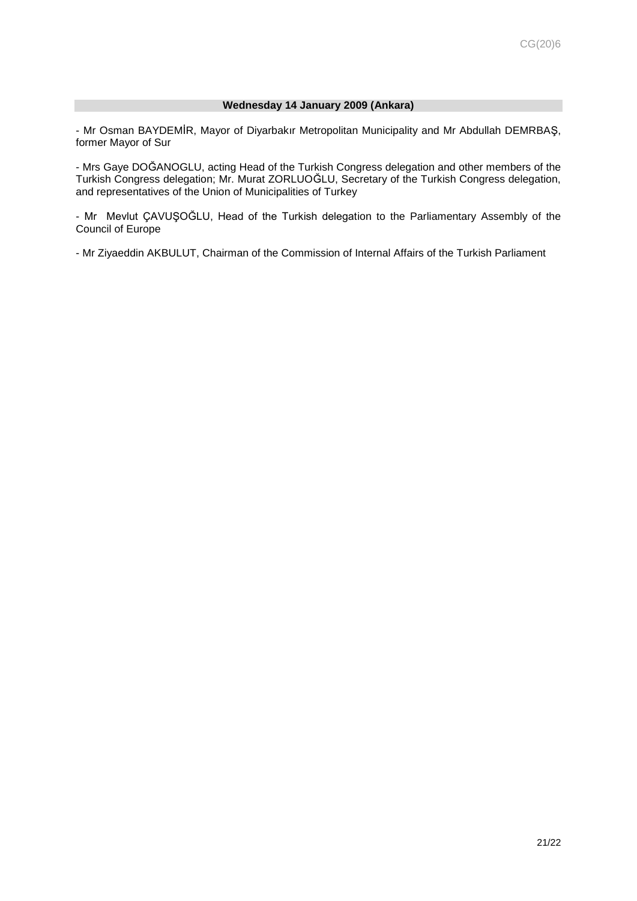## **Wednesday 14 January 2009 (Ankara)**

- Mr Osman BAYDEMİR, Mayor of Diyarbakır Metropolitan Municipality and Mr Abdullah DEMRBAŞ, former Mayor of Sur

- Mrs Gaye DOĞANOGLU, acting Head of the Turkish Congress delegation and other members of the Turkish Congress delegation; Mr. Murat ZORLUOĞLU, Secretary of the Turkish Congress delegation, and representatives of the Union of Municipalities of Turkey

- Mr Mevlut ÇAVUŞOĞLU, Head of the Turkish delegation to the Parliamentary Assembly of the Council of Europe

- Mr Ziyaeddin AKBULUT, Chairman of the Commission of Internal Affairs of the Turkish Parliament